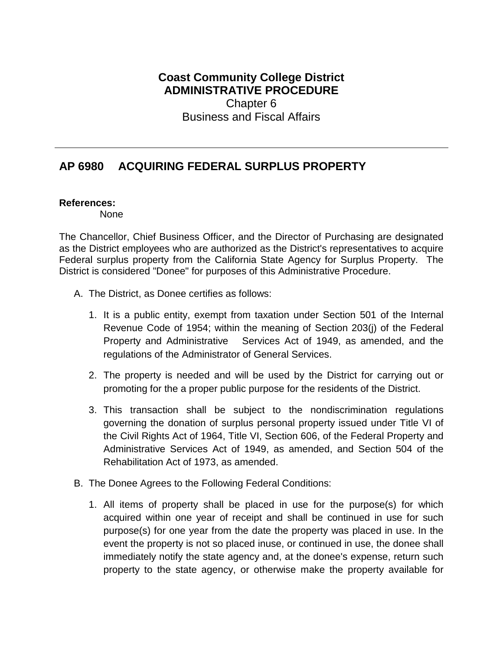## **Coast Community College District ADMINISTRATIVE PROCEDURE**

Chapter 6 Business and Fiscal Affairs

## **AP 6980 ACQUIRING FEDERAL SURPLUS PROPERTY**

## **References:**

None

The Chancellor, Chief Business Officer, and the Director of Purchasing are designated as the District employees who are authorized as the District's representatives to acquire Federal surplus property from the California State Agency for Surplus Property. The District is considered "Donee" for purposes of this Administrative Procedure.

- A. The District, as Donee certifies as follows:
	- 1. It is a public entity, exempt from taxation under Section 501 of the Internal Revenue Code of 1954; within the meaning of Section 203(j) of the Federal Property and Administrative Services Act of 1949, as amended, and the regulations of the Administrator of General Services.
	- 2. The property is needed and will be used by the District for carrying out or promoting for the a proper public purpose for the residents of the District.
	- 3. This transaction shall be subject to the nondiscrimination regulations governing the donation of surplus personal property issued under Title VI of the Civil Rights Act of 1964, Title VI, Section 606, of the Federal Property and Administrative Services Act of 1949, as amended, and Section 504 of the Rehabilitation Act of 1973, as amended.
- B. The Donee Agrees to the Following Federal Conditions:
	- 1. All items of property shall be placed in use for the purpose(s) for which acquired within one year of receipt and shall be continued in use for such purpose(s) for one year from the date the property was placed in use. In the event the property is not so placed inuse, or continued in use, the donee shall immediately notify the state agency and, at the donee's expense, return such property to the state agency, or otherwise make the property available for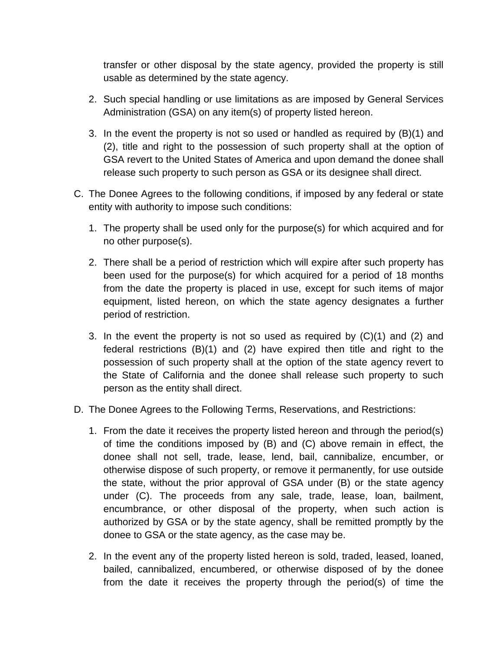transfer or other disposal by the state agency, provided the property is still usable as determined by the state agency.

- 2. Such special handling or use limitations as are imposed by General Services Administration (GSA) on any item(s) of property listed hereon.
- 3. In the event the property is not so used or handled as required by (B)(1) and (2), title and right to the possession of such property shall at the option of GSA revert to the United States of America and upon demand the donee shall release such property to such person as GSA or its designee shall direct.
- C. The Donee Agrees to the following conditions, if imposed by any federal or state entity with authority to impose such conditions:
	- 1. The property shall be used only for the purpose(s) for which acquired and for no other purpose(s).
	- 2. There shall be a period of restriction which will expire after such property has been used for the purpose(s) for which acquired for a period of 18 months from the date the property is placed in use, except for such items of major equipment, listed hereon, on which the state agency designates a further period of restriction.
	- 3. In the event the property is not so used as required by (C)(1) and (2) and federal restrictions (B)(1) and (2) have expired then title and right to the possession of such property shall at the option of the state agency revert to the State of California and the donee shall release such property to such person as the entity shall direct.
- D. The Donee Agrees to the Following Terms, Reservations, and Restrictions:
	- 1. From the date it receives the property listed hereon and through the period(s) of time the conditions imposed by (B) and (C) above remain in effect, the donee shall not sell, trade, lease, lend, bail, cannibalize, encumber, or otherwise dispose of such property, or remove it permanently, for use outside the state, without the prior approval of GSA under (B) or the state agency under (C). The proceeds from any sale, trade, lease, loan, bailment, encumbrance, or other disposal of the property, when such action is authorized by GSA or by the state agency, shall be remitted promptly by the donee to GSA or the state agency, as the case may be.
	- 2. In the event any of the property listed hereon is sold, traded, leased, loaned, bailed, cannibalized, encumbered, or otherwise disposed of by the donee from the date it receives the property through the period(s) of time the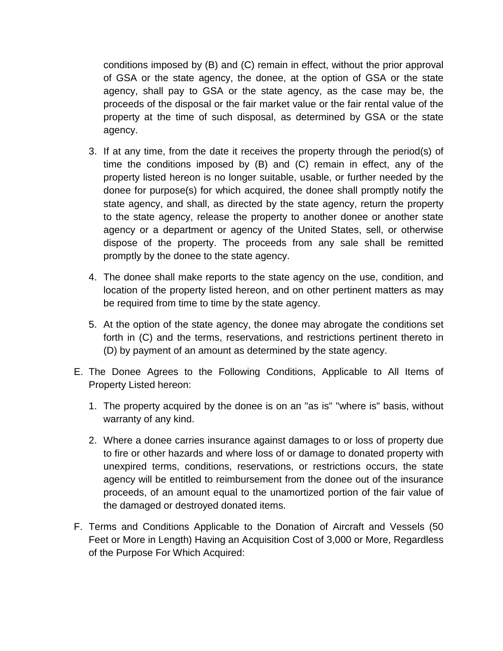conditions imposed by (B) and (C) remain in effect, without the prior approval of GSA or the state agency, the donee, at the option of GSA or the state agency, shall pay to GSA or the state agency, as the case may be, the proceeds of the disposal or the fair market value or the fair rental value of the property at the time of such disposal, as determined by GSA or the state agency.

- 3. If at any time, from the date it receives the property through the period(s) of time the conditions imposed by (B) and (C) remain in effect, any of the property listed hereon is no longer suitable, usable, or further needed by the donee for purpose(s) for which acquired, the donee shall promptly notify the state agency, and shall, as directed by the state agency, return the property to the state agency, release the property to another donee or another state agency or a department or agency of the United States, sell, or otherwise dispose of the property. The proceeds from any sale shall be remitted promptly by the donee to the state agency.
- 4. The donee shall make reports to the state agency on the use, condition, and location of the property listed hereon, and on other pertinent matters as may be required from time to time by the state agency.
- 5. At the option of the state agency, the donee may abrogate the conditions set forth in (C) and the terms, reservations, and restrictions pertinent thereto in (D) by payment of an amount as determined by the state agency.
- E. The Donee Agrees to the Following Conditions, Applicable to All Items of Property Listed hereon:
	- 1. The property acquired by the donee is on an "as is" "where is" basis, without warranty of any kind.
	- 2. Where a donee carries insurance against damages to or loss of property due to fire or other hazards and where loss of or damage to donated property with unexpired terms, conditions, reservations, or restrictions occurs, the state agency will be entitled to reimbursement from the donee out of the insurance proceeds, of an amount equal to the unamortized portion of the fair value of the damaged or destroyed donated items.
- F. Terms and Conditions Applicable to the Donation of Aircraft and Vessels (50 Feet or More in Length) Having an Acquisition Cost of 3,000 or More, Regardless of the Purpose For Which Acquired: